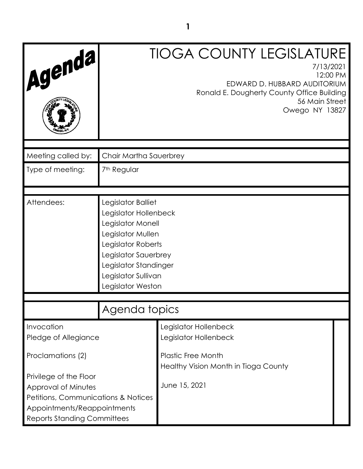| Agenda                                                                                                                                                               |                                                                                                                                                                                                          | <b>TIOGA COUNTY LEGISLATURE</b><br>7/13/2021<br>12:00 PM<br>EDWARD D. HUBBARD AUDITORIUM<br>Ronald E. Dougherty County Office Building<br>56 Main Street<br>Owego NY 13827 |  |
|----------------------------------------------------------------------------------------------------------------------------------------------------------------------|----------------------------------------------------------------------------------------------------------------------------------------------------------------------------------------------------------|----------------------------------------------------------------------------------------------------------------------------------------------------------------------------|--|
|                                                                                                                                                                      |                                                                                                                                                                                                          |                                                                                                                                                                            |  |
| Meeting called by:                                                                                                                                                   | Chair Martha Sauerbrey                                                                                                                                                                                   |                                                                                                                                                                            |  |
| Type of meeting:                                                                                                                                                     | 7 <sup>th</sup> Regular                                                                                                                                                                                  |                                                                                                                                                                            |  |
|                                                                                                                                                                      |                                                                                                                                                                                                          |                                                                                                                                                                            |  |
| Attendees:                                                                                                                                                           | Legislator Balliet<br>Legislator Hollenbeck<br>Legislator Monell<br>Legislator Mullen<br>Legislator Roberts<br>Legislator Sauerbrey<br>Legislator Standinger<br>Legislator Sullivan<br>Legislator Weston |                                                                                                                                                                            |  |
|                                                                                                                                                                      | Agenda topics                                                                                                                                                                                            |                                                                                                                                                                            |  |
|                                                                                                                                                                      |                                                                                                                                                                                                          |                                                                                                                                                                            |  |
| Invocation<br>Pledge of Allegiance                                                                                                                                   |                                                                                                                                                                                                          | Legislator Hollenbeck<br>Legislator Hollenbeck                                                                                                                             |  |
| Proclamations (2)                                                                                                                                                    |                                                                                                                                                                                                          | <b>Plastic Free Month</b><br>Healthy Vision Month in Tioga County                                                                                                          |  |
| Privilege of the Floor<br>Approval of Minutes<br><b>Petitions, Communications &amp; Notices</b><br>Appointments/Reappointments<br><b>Reports Standing Committees</b> |                                                                                                                                                                                                          | June 15, 2021                                                                                                                                                              |  |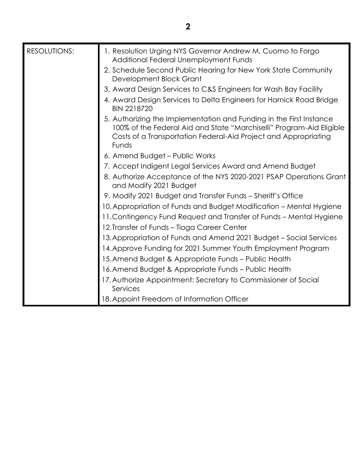| <b>RESOLUTIONS:</b> | 1. Resolution Urging NYS Governor Andrew M. Cuomo to Forgo<br>Additional Federal Unemployment Funds                                                                                                                     |
|---------------------|-------------------------------------------------------------------------------------------------------------------------------------------------------------------------------------------------------------------------|
|                     | 2. Schedule Second Public Hearing for New York State Community<br>Development Block Grant                                                                                                                               |
|                     | 3. Award Design Services to C&S Engineers for Wash Bay Facility                                                                                                                                                         |
|                     | 4. Award Design Services to Delta Engineers for Harnick Road Bridge<br><b>BIN 2218720</b>                                                                                                                               |
|                     | 5. Authorizing the Implementation and Funding in the First Instance<br>100% of the Federal Aid and State "Marchiselli" Program-Aid Eligible<br>Costs of a Transportation Federal-Aid Project and Appropriating<br>Funds |
|                     | 6. Amend Budget – Public Works                                                                                                                                                                                          |
|                     | 7. Accept Indigent Legal Services Award and Amend Budget                                                                                                                                                                |
|                     | 8. Authorize Acceptance of the NYS 2020-2021 PSAP Operations Grant<br>and Modify 2021 Budget                                                                                                                            |
|                     | 9. Modify 2021 Budget and Transfer Funds - Sheriff's Office                                                                                                                                                             |
|                     | 10. Appropriation of Funds and Budget Modification – Mental Hygiene                                                                                                                                                     |
|                     | 11. Contingency Fund Request and Transfer of Funds - Mental Hygiene                                                                                                                                                     |
|                     | 12. Transfer of Funds - Tioga Career Center                                                                                                                                                                             |
|                     | 13. Appropriation of Funds and Amend 2021 Budget - Social Services                                                                                                                                                      |
|                     | 14. Approve Funding for 2021 Summer Youth Employment Program                                                                                                                                                            |
|                     | 15. Amend Budget & Appropriate Funds – Public Health                                                                                                                                                                    |
|                     | 16. Amend Budget & Appropriate Funds - Public Health                                                                                                                                                                    |
|                     | 17. Authorize Appointment: Secretary to Commissioner of Social<br>Services                                                                                                                                              |
|                     | 18. Appoint Freedom of Information Officer                                                                                                                                                                              |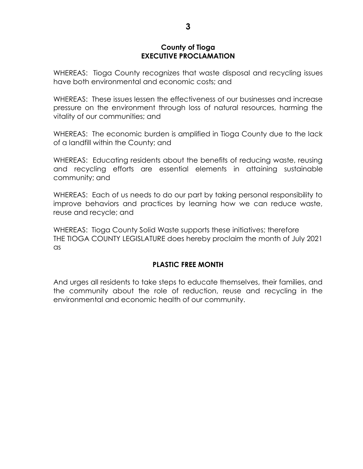### **County of Tioga EXECUTIVE PROCLAMATION**

WHEREAS: Tioga County recognizes that waste disposal and recycling issues have both environmental and economic costs; and

WHEREAS: These issues lessen the effectiveness of our businesses and increase pressure on the environment through loss of natural resources, harming the vitality of our communities; and

WHEREAS: The economic burden is amplified in Tioga County due to the lack of a landfill within the County; and

WHEREAS: Educating residents about the benefits of reducing waste, reusing and recycling efforts are essential elements in attaining sustainable community; and

WHEREAS: Each of us needs to do our part by taking personal responsibility to improve behaviors and practices by learning how we can reduce waste, reuse and recycle; and

WHEREAS: Tioga County Solid Waste supports these initiatives; therefore THE TIOGA COUNTY LEGISLATURE does hereby proclaim the month of July 2021 as

# **PLASTIC FREE MONTH**

And urges all residents to take steps to educate themselves, their families, and the community about the role of reduction, reuse and recycling in the environmental and economic health of our community.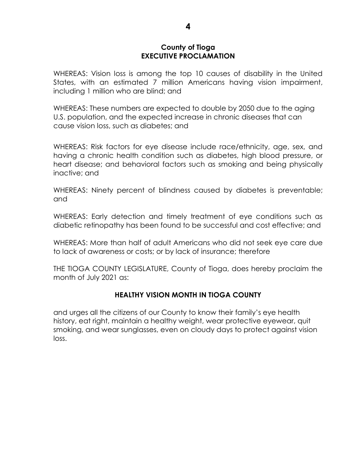### **County of Tioga EXECUTIVE PROCLAMATION**

WHEREAS: Vision loss is among the top 10 causes of disability in the United States, with an estimated 7 million Americans having vision impairment, including 1 million who are blind; and

WHEREAS: These numbers are expected to double by 2050 due to the aging U.S. population, and the expected increase in chronic diseases that can cause vision loss, such as diabetes; and

WHEREAS: Risk factors for eye disease include race/ethnicity, age, sex, and having a chronic health condition such as diabetes, high blood pressure, or heart disease; and behavioral factors such as smoking and being physically inactive; and

WHEREAS: Ninety percent of blindness caused by diabetes is preventable; and

WHEREAS: Early detection and timely treatment of eye conditions such as diabetic retinopathy has been found to be successful and cost effective; and

WHEREAS: More than half of adult Americans who did not seek eye care due to lack of awareness or costs; or by lack of insurance; therefore

THE TIOGA COUNTY LEGISLATURE, County of Tioga, does hereby proclaim the month of July 2021 as:

### **HEALTHY VISION MONTH IN TIOGA COUNTY**

and urges all the citizens of our County to know their family's eye health history, eat right, maintain a healthy weight, wear protective eyewear, quit smoking, and wear sunglasses, even on cloudy days to protect against vision loss.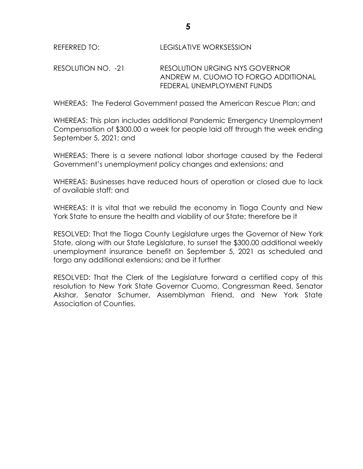RESOLUTION NO. -21 RESOLUTION URGING NYS GOVERNOR ANDREW M. CUOMO TO FORGO ADDITIONAL FEDERAL UNEMPLOYMENT FUNDS

WHEREAS: The Federal Government passed the American Rescue Plan; and

WHEREAS: This plan includes additional Pandemic Emergency Unemployment Compensation of \$300.00 a week for people laid off through the week ending September 5, 2021; and

WHEREAS: There is a severe national labor shortage caused by the Federal Government's unemployment policy changes and extensions; and

WHEREAS: Businesses have reduced hours of operation or closed due to lack of available staff; and

WHEREAS: It is vital that we rebuild the economy in Tioga County and New York State to ensure the health and viability of our State; therefore be it

RESOLVED: That the Tioga County Legislature urges the Governor of New York State, along with our State Legislature, to sunset the \$300.00 additional weekly unemployment insurance benefit on September 5, 2021 as scheduled and forgo any additional extensions; and be it further

RESOLVED: That the Clerk of the Legislature forward a certified copy of this resolution to New York State Governor Cuomo, Congressman Reed, Senator Akshar, Senator Schumer, Assemblyman Friend, and New York State Association of Counties.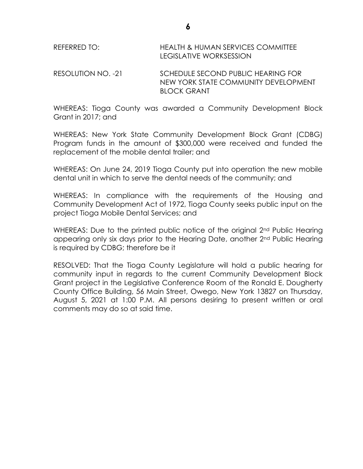| REFERRED TO: | HEALTH & HUMAN SERVICES COMMITTEE |
|--------------|-----------------------------------|
|              | LEGISLATIVE WORKSESSION           |

RESOLUTION NO. -21 SCHEDULE SECOND PUBLIC HEARING FOR NEW YORK STATE COMMUNITY DEVELOPMENT BLOCK GRANT

WHEREAS: Tioga County was awarded a Community Development Block Grant in 2017; and

WHEREAS: New York State Community Development Block Grant (CDBG) Program funds in the amount of \$300,000 were received and funded the replacement of the mobile dental trailer; and

WHEREAS: On June 24, 2019 Tioga County put into operation the new mobile dental unit in which to serve the dental needs of the community; and

WHEREAS: In compliance with the requirements of the Housing and Community Development Act of 1972, Tioga County seeks public input on the project Tioga Mobile Dental Services; and

WHEREAS: Due to the printed public notice of the original 2<sup>nd</sup> Public Hearing appearing only six days prior to the Hearing Date, another 2nd Public Hearing is required by CDBG; therefore be it

RESOLVED: That the Tioga County Legislature will hold a public hearing for community input in regards to the current Community Development Block Grant project in the Legislative Conference Room of the Ronald E. Dougherty County Office Building, 56 Main Street, Owego, New York 13827 on Thursday, August 5, 2021 at 1:00 P.M. All persons desiring to present written or oral comments may do so at said time.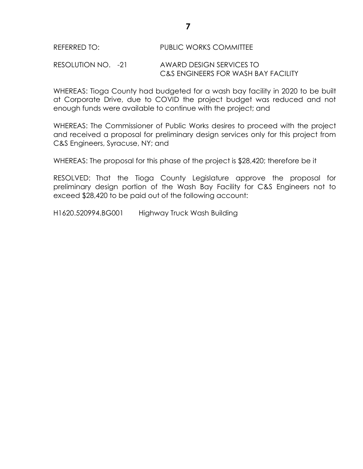# REFERRED TO: PUBLIC WORKS COMMITTEE

RESOLUTION NO. -21 AWARD DESIGN SERVICES TO C&S ENGINEERS FOR WASH BAY FACILITY

WHEREAS: Tioga County had budgeted for a wash bay facility in 2020 to be built at Corporate Drive, due to COVID the project budget was reduced and not enough funds were available to continue with the project; and

WHEREAS: The Commissioner of Public Works desires to proceed with the project and received a proposal for preliminary design services only for this project from C&S Engineers, Syracuse, NY; and

WHEREAS: The proposal for this phase of the project is \$28,420; therefore be it

RESOLVED: That the Tioga County Legislature approve the proposal for preliminary design portion of the Wash Bay Facility for C&S Engineers not to exceed \$28,420 to be paid out of the following account:

H1620.520994.BG001 Highway Truck Wash Building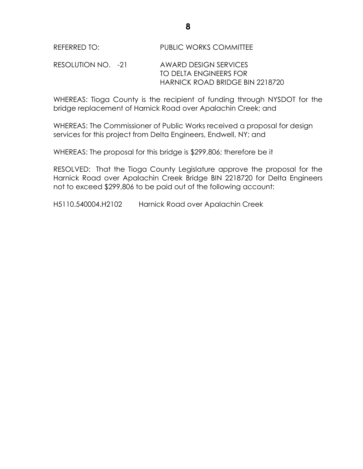### RESOLUTION NO. -21 AWARD DESIGN SERVICES TO DELTA ENGINEERS FOR HARNICK ROAD BRIDGE BIN 2218720

WHEREAS: Tioga County is the recipient of funding through NYSDOT for the bridge replacement of Harnick Road over Apalachin Creek; and

WHEREAS: The Commissioner of Public Works received a proposal for design services for this project from Delta Engineers, Endwell, NY; and

WHEREAS: The proposal for this bridge is \$299,806; therefore be it

RESOLVED: That the Tioga County Legislature approve the proposal for the Harnick Road over Apalachin Creek Bridge BIN 2218720 for Delta Engineers not to exceed \$299,806 to be paid out of the following account:

H5110.540004.H2102 Harnick Road over Apalachin Creek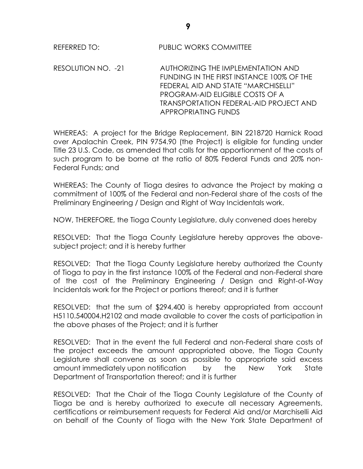RESOLUTION NO. -21 AUTHORIZING THE IMPLEMENTATION AND FUNDING IN THE FIRST INSTANCE 100% OF THE FEDERAL AID AND STATE "MARCHISELLI" PROGRAM-AID ELIGIBLE COSTS OF A TRANSPORTATION FEDERAL-AID PROJECT AND APPROPRIATING FUNDS

WHEREAS: A project for the Bridge Replacement, BIN 2218720 Harnick Road over Apalachin Creek, PIN 9754.90 (the Project) is eligible for funding under Title 23 U.S. Code, as amended that calls for the apportionment of the costs of such program to be borne at the ratio of 80% Federal Funds and 20% non-Federal Funds; and

WHEREAS: The County of Tioga desires to advance the Project by making a commitment of 100% of the Federal and non-Federal share of the costs of the Preliminary Engineering / Design and Right of Way Incidentals work.

NOW, THEREFORE, the Tioga County Legislature, duly convened does hereby

RESOLVED: That the Tioga County Legislature hereby approves the abovesubject project; and it is hereby further

RESOLVED: That the Tioga County Legislature hereby authorized the County of Tioga to pay in the first instance 100% of the Federal and non-Federal share of the cost of the Preliminary Engineering / Design and Right-of-Way Incidentals work for the Project or portions thereof; and it is further

RESOLVED: that the sum of \$294,400 is hereby appropriated from account H5110.540004.H2102 and made available to cover the costs of participation in the above phases of the Project; and it is further

RESOLVED: That in the event the full Federal and non-Federal share costs of the project exceeds the amount appropriated above, the Tioga County Legislature shall convene as soon as possible to appropriate said excess amount immediately upon notification by the New York State Department of Transportation thereof; and it is further

RESOLVED: That the Chair of the Tioga County Legislature of the County of Tioga be and is hereby authorized to execute all necessary Agreements, certifications or reimbursement requests for Federal Aid and/or Marchiselli Aid on behalf of the County of Tioga with the New York State Department of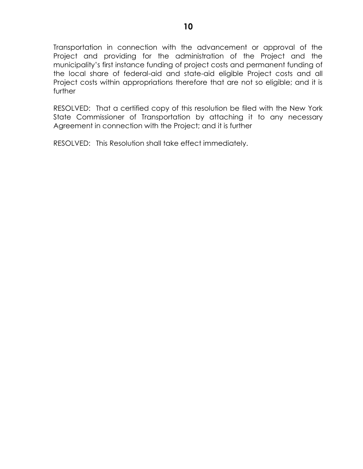Transportation in connection with the advancement or approval of the Project and providing for the administration of the Project and the municipality's first instance funding of project costs and permanent funding of the local share of federal-aid and state-aid eligible Project costs and all Project costs within appropriations therefore that are not so eligible; and it is further

RESOLVED: That a certified copy of this resolution be filed with the New York State Commissioner of Transportation by attaching it to any necessary Agreement in connection with the Project; and it is further

RESOLVED: This Resolution shall take effect immediately.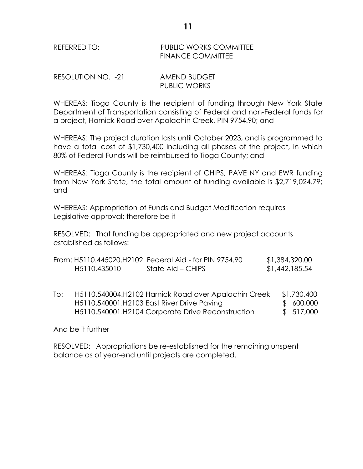#### REFERRED TO: PUBLIC WORKS COMMITTEE FINANCE COMMITTEE

RESOLUTION NO. -21 AMEND BUDGET PUBLIC WORKS

WHEREAS: Tioga County is the recipient of funding through New York State Department of Transportation consisting of Federal and non-Federal funds for a project, Harnick Road over Apalachin Creek, PIN 9754.90; and

WHEREAS: The project duration lasts until October 2023, and is programmed to have a total cost of \$1,730,400 including all phases of the project, in which 80% of Federal Funds will be reimbursed to Tioga County; and

WHEREAS: Tioga County is the recipient of CHIPS, PAVE NY and EWR funding from New York State, the total amount of funding available is \$2,719,024.79; and

WHEREAS: Appropriation of Funds and Budget Modification requires Legislative approval; therefore be it

RESOLVED: That funding be appropriated and new project accounts established as follows:

|              | From: H5110.445020.H2102 Federal Aid - for PIN 9754.90 | \$1,384,320.00 |
|--------------|--------------------------------------------------------|----------------|
| H5110.435010 | State Aid – CHIPS                                      | \$1,442,185.54 |

To: H5110.540004.H2102 Harnick Road over Apalachin Creek \$1,730,400 H5110.540001.H2103 East River Drive Pavina  $$600,000$ H5110.540001.H2104 Corporate Drive Reconstruction  $$517,000$ 

#### And be it further

RESOLVED: Appropriations be re-established for the remaining unspent balance as of year-end until projects are completed.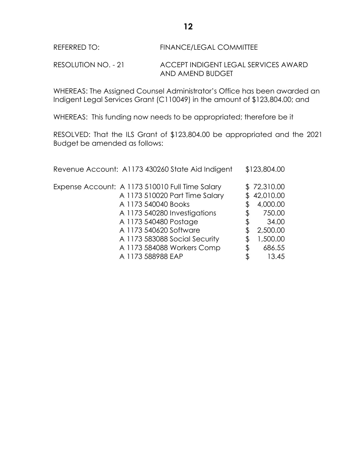REFERRED TO: FINANCE/LEGAL COMMITTEE

RESOLUTION NO. - 21 ACCEPT INDIGENT LEGAL SERVICES AWARD AND AMEND BUDGET

WHEREAS: The Assigned Counsel Administrator's Office has been awarded an Indigent Legal Services Grant (C110049) in the amount of \$123,804.00; and

WHEREAS: This funding now needs to be appropriated; therefore be it

RESOLVED: That the ILS Grant of \$123,804.00 be appropriated and the 2021 Budget be amended as follows:

| Revenue Account: A1173 430260 State Aid Indigent                                                                                                                                                                                                           |                      | \$123,804.00                                                                              |
|------------------------------------------------------------------------------------------------------------------------------------------------------------------------------------------------------------------------------------------------------------|----------------------|-------------------------------------------------------------------------------------------|
| Expense Account: A 1173 510010 Full Time Salary<br>A 1173 510020 Part Time Salary<br>A 1173 540040 Books<br>A 1173 540280 Investigations<br>A 1173 540480 Postage<br>A 1173 540620 Software<br>A 1173 583088 Social Security<br>A 1173 584088 Workers Comp | \$<br>\$<br>\$<br>\$ | \$72,310.00<br>42,010.00<br>4,000.00<br>750.00<br>34.00<br>2,500.00<br>1,500.00<br>686.55 |
| A 1173 588988 EAP                                                                                                                                                                                                                                          | \$                   | 13.45                                                                                     |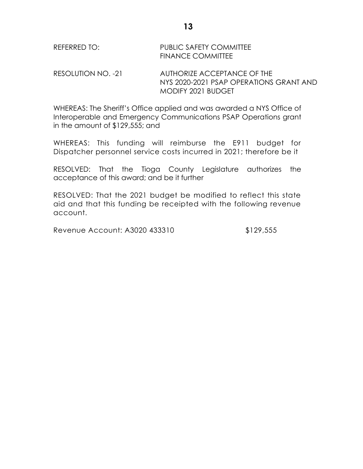| REFERRED TO: | <b>PUBLIC SAFETY COMMITTEE</b> |
|--------------|--------------------------------|
|              | <b>FINANCE COMMITTEE</b>       |
|              |                                |

RESOLUTION NO. -21 AUTHORIZE ACCEPTANCE OF THE NYS 2020-2021 PSAP OPERATIONS GRANT AND MODIFY 2021 BUDGET

WHEREAS: The Sheriff's Office applied and was awarded a NYS Office of Interoperable and Emergency Communications PSAP Operations grant in the amount of \$129,555; and

WHEREAS: This funding will reimburse the E911 budget for Dispatcher personnel service costs incurred in 2021; therefore be it

RESOLVED: That the Tioga County Legislature authorizes the acceptance of this award; and be it further

RESOLVED: That the 2021 budget be modified to reflect this state aid and that this funding be receipted with the following revenue account.

Revenue Account: A3020 433310 \$129,555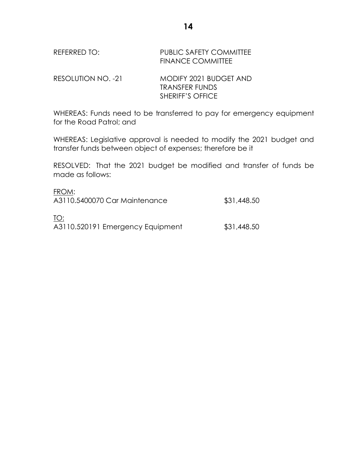| REFERRED TO: | <b>PUBLIC SAFETY COMMITTEE</b> |
|--------------|--------------------------------|
|              | <b>FINANCE COMMITTEE</b>       |

RESOLUTION NO. -21 MODIFY 2021 BUDGET AND TRANSFER FUNDS SHERIFF'S OFFICE

WHEREAS: Funds need to be transferred to pay for emergency equipment for the Road Patrol; and

WHEREAS: Legislative approval is needed to modify the 2021 budget and transfer funds between object of expenses; therefore be it

RESOLVED: That the 2021 budget be modified and transfer of funds be made as follows:

| FROM:<br>A3110.5400070 Car Maintenance  | \$31,448.50 |
|-----------------------------------------|-------------|
| TO:<br>A3110.520191 Emergency Equipment | \$31,448.50 |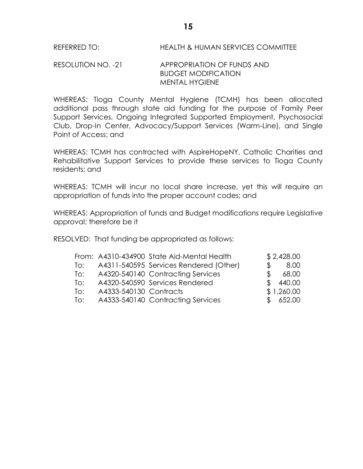REFERRED TO: HEALTH & HUMAN SERVICES COMMITTEE

#### RESOLUTION NO. -21 APPROPRIATION OF FUNDS AND BUDGET MODIFICATION MENTAL HYGIENE

WHEREAS: Tioga County Mental Hygiene (TCMH) has been allocated additional pass through state aid funding for the purpose of Family Peer Support Services, Ongoing Integrated Supported Employment, Psychosocial Club, Drop-In Center, Advocacy/Support Services (Warm-Line), and Single Point of Access; and

WHEREAS: TCMH has contracted with AspireHopeNY, Catholic Charities and Rehabilitative Support Services to provide these services to Tioga County residents; and

WHEREAS: TCMH will incur no local share increase, yet this will require an appropriation of funds into the proper account codes; and

WHEREAS: Appropriation of funds and Budget modifications require Legislative approval; therefore be it

RESOLVED: That funding be appropriated as follows:

|  | \$2,428.00                                                                                                                                                                                                                 |
|--|----------------------------------------------------------------------------------------------------------------------------------------------------------------------------------------------------------------------------|
|  | 8.00<br>\$                                                                                                                                                                                                                 |
|  | 68.00<br>Ж.                                                                                                                                                                                                                |
|  | 440.00<br>S.                                                                                                                                                                                                               |
|  | \$1,260.00                                                                                                                                                                                                                 |
|  | \$652.00                                                                                                                                                                                                                   |
|  | From: A4310-434900 State Aid-Mental Health<br>A4311-540595 Services Rendered (Other)<br>A4320-540140 Contracting Services<br>A4320-540590 Services Rendered<br>A4333-540130 Contracts<br>A4333-540140 Contracting Services |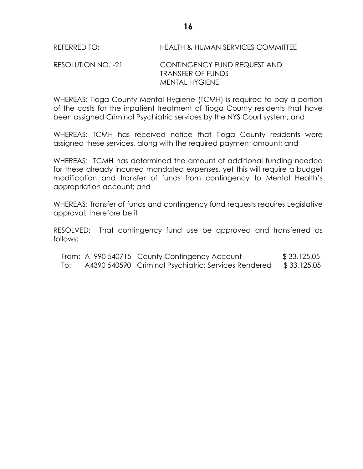### RESOLUTION NO. -21 CONTINGENCY FUND REQUEST AND TRANSFER OF FUNDS MENTAL HYGIENE

WHEREAS: Tioga County Mental Hygiene (TCMH) is required to pay a portion of the costs for the inpatient treatment of Tioga County residents that have been assigned Criminal Psychiatric services by the NYS Court system; and

WHEREAS: TCMH has received notice that Tioga County residents were assigned these services, along with the required payment amount; and

WHEREAS: TCMH has determined the amount of additional funding needed for these already incurred mandated expenses, yet this will require a budget modification and transfer of funds from contingency to Mental Health's appropriation account; and

WHEREAS: Transfer of funds and contingency fund requests requires Legislative approval; therefore be it

RESOLVED: That contingency fund use be approved and transferred as follows:

|     | From: A1990 540715 County Contingency Account        | \$33,125.05 |
|-----|------------------------------------------------------|-------------|
| To: | A4390 540590 Criminal Psychiatric: Services Rendered | \$33,125.05 |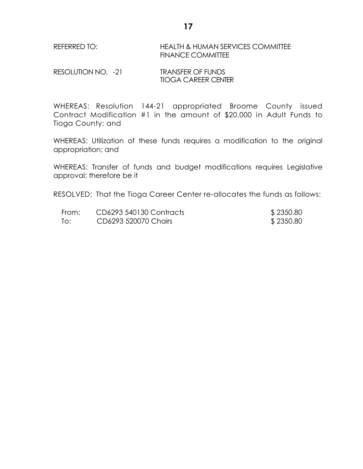REFERRED TO: HEALTH & HUMAN SERVICES COMMITTEE FINANCE COMMITTEE

RESOLUTION NO. -21 TRANSFER OF FUNDS TIOGA CAREER CENTER

WHEREAS: Resolution 144-21 appropriated Broome County issued Contract Modification #1 in the amount of \$20,000 in Adult Funds to Tioga County; and

WHEREAS: Utilization of these funds requires a modification to the original appropriation; and

WHEREAS: Transfer of funds and budget modifications requires Legislative approval; therefore be it

RESOLVED: That the Tioga Career Center re-allocates the funds as follows:

| From: | CD6293 540130 Contracts | \$2350.80 |
|-------|-------------------------|-----------|
| To:   | CD6293 520070 Chairs    | \$2350.80 |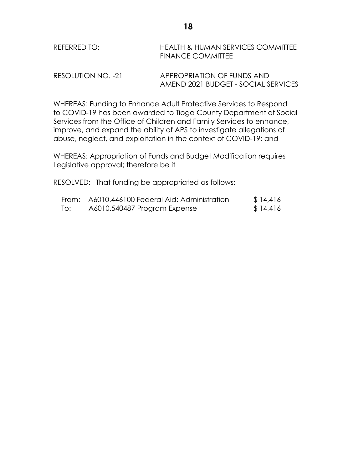| REFERRED TO: | HEALTH & HUMAN SERVICES COMMITTEE |
|--------------|-----------------------------------|
|              | <b>FINANCE COMMITTEE</b>          |
|              |                                   |

RESOLUTION NO. -21 APPROPRIATION OF FUNDS AND AMEND 2021 BUDGET - SOCIAL SERVICES

WHEREAS: Funding to Enhance Adult Protective Services to Respond to COVID-19 has been awarded to Tioga County Department of Social Services from the Office of Children and Family Services to enhance, improve, and expand the ability of APS to investigate allegations of abuse, neglect, and exploitation in the context of COVID-19; and

WHEREAS: Appropriation of Funds and Budget Modification requires Legislative approval; therefore be it

RESOLVED: That funding be appropriated as follows:

|     | From: A6010.446100 Federal Aid: Administration | \$14,416 |
|-----|------------------------------------------------|----------|
| To: | A6010.540487 Program Expense                   | \$14,416 |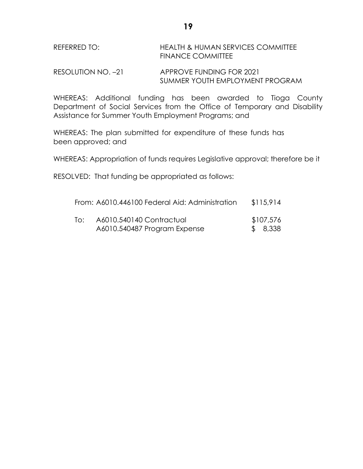| REFERRED TO: | <b>HEALTH &amp; HUMAN SERVICES COMMITTEE</b> |
|--------------|----------------------------------------------|
|              | <b>FINANCE COMMITTEE</b>                     |

RESOLUTION NO. -21 APPROVE FUNDING FOR 2021 SUMMER YOUTH EMPLOYMENT PROGRAM

WHEREAS: Additional funding has been awarded to Tioga County Department of Social Services from the Office of Temporary and Disability Assistance for Summer Youth Employment Programs; and

WHEREAS: The plan submitted for expenditure of these funds has been approved; and

WHEREAS: Appropriation of funds requires Legislative approval; therefore be it

RESOLVED: That funding be appropriated as follows:

|     | From: A6010.446100 Federal Aid: Administration           | \$115,914            |
|-----|----------------------------------------------------------|----------------------|
| To: | A6010.540140 Contractual<br>A6010.540487 Program Expense | \$107,576<br>\$8,338 |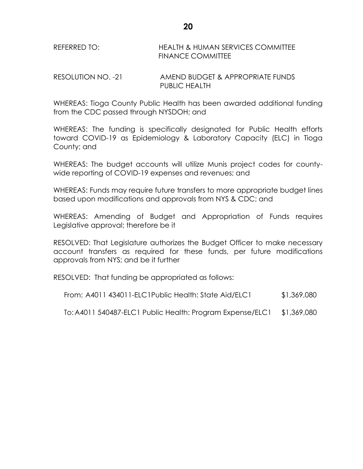### REFERRED TO: HEALTH & HUMAN SERVICES COMMITTEE FINANCE COMMITTEE

RESOLUTION NO. -21 AMEND BUDGET & APPROPRIATE FUNDS PUBLIC HEALTH

WHEREAS: Tioga County Public Health has been awarded additional funding from the CDC passed through NYSDOH; and

WHEREAS: The funding is specifically designated for Public Health efforts toward COVID-19 as Epidemiology & Laboratory Capacity (ELC) in Tioga County; and

WHEREAS: The budget accounts will utilize Munis project codes for countywide reporting of COVID-19 expenses and revenues; and

WHEREAS: Funds may require future transfers to more appropriate budget lines based upon modifications and approvals from NYS & CDC; and

WHEREAS: Amending of Budget and Appropriation of Funds requires Legislative approval; therefore be it

RESOLVED: That Legislature authorizes the Budget Officer to make necessary account transfers as required for these funds, per future modifications approvals from NYS; and be it further

RESOLVED: That funding be appropriated as follows:

From: A4011 434011-ELC1Public Health: State Aid/ELC1 \$1,369,080

To:A4011 540487-ELC1 Public Health: Program Expense/ELC1 \$1,369,080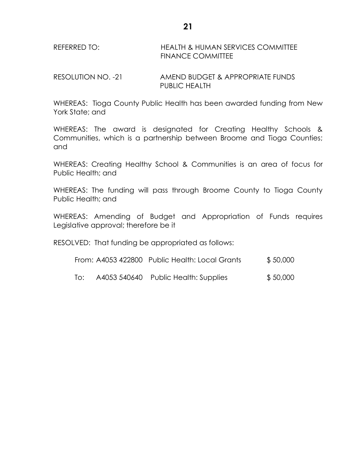REFERRED TO: HEALTH & HUMAN SERVICES COMMITTEE FINANCE COMMITTEE

RESOLUTION NO. -21 AMEND BUDGET & APPROPRIATE FUNDS PUBLIC HEALTH

WHEREAS: Tioga County Public Health has been awarded funding from New York State; and

WHEREAS: The award is designated for Creating Healthy Schools & Communities, which is a partnership between Broome and Tioga Counties; and

WHEREAS: Creating Healthy School & Communities is an area of focus for Public Health; and

WHEREAS: The funding will pass through Broome County to Tioga County Public Health; and

WHEREAS: Amending of Budget and Appropriation of Funds requires Legislative approval; therefore be it

RESOLVED: That funding be appropriated as follows:

| \$50,000<br>From: A4053 422800 Public Health: Local Grants |
|------------------------------------------------------------|
|                                                            |

To: A4053 540640 Public Health: Supplies \$ 50,000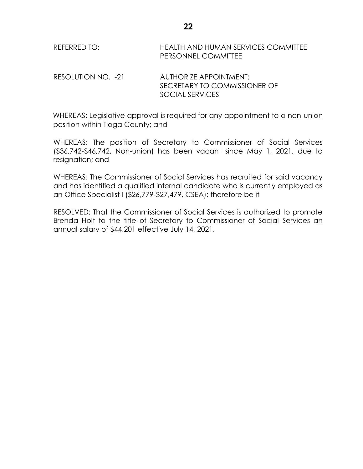REFERRED TO: HEALTH AND HUMAN SERVICES COMMITTEE PERSONNEL COMMITTEE

RESOLUTION NO. -21 AUTHORIZE APPOINTMENT: SECRETARY TO COMMISSIONER OF SOCIAL SERVICES

WHEREAS: Legislative approval is required for any appointment to a non-union position within Tioga County; and

WHEREAS: The position of Secretary to Commissioner of Social Services (\$36,742-\$46,742, Non-union) has been vacant since May 1, 2021, due to resignation; and

WHEREAS: The Commissioner of Social Services has recruited for said vacancy and has identified a qualified internal candidate who is currently employed as an Office Specialist I (\$26,779-\$27,479, CSEA); therefore be it

RESOLVED: That the Commissioner of Social Services is authorized to promote Brenda Holt to the title of Secretary to Commissioner of Social Services an annual salary of \$44,201 effective July 14, 2021.